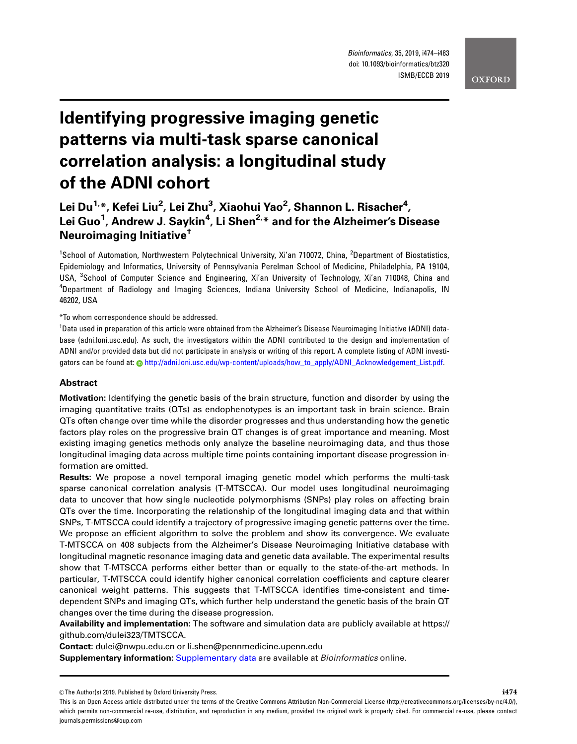**OXFORD** 

# Identifying progressive imaging genetic patterns via multi-task sparse canonical correlation analysis: a longitudinal study of the ADNI cohort

# Lei Du<sup>1,</sup>\*, Kefei Liu<sup>2</sup>, Lei Zhu<sup>3</sup>, Xiaohui Yao<sup>2</sup>, Shannon L. Risacher<sup>4</sup>, Lei Guo<sup>1</sup>, Andrew J. Saykin<sup>4</sup>, Li Shen<sup>2,</sup>\* and for the Alzheimer's Disease Neuroimaging Initiative†

<sup>1</sup>School of Automation, Northwestern Polytechnical University, Xi'an 710072, China, <sup>2</sup>Department of Biostatistics, Epidemiology and Informatics, University of Pennsylvania Perelman School of Medicine, Philadelphia, PA 19104, USA, <sup>3</sup>School of Computer Science and Engineering, Xi'an University of Technology, Xi'an 710048, China and 4 Department of Radiology and Imaging Sciences, Indiana University School of Medicine, Indianapolis, IN 46202, USA

\*To whom correspondence should be addressed.

† Data used in preparation of this article were obtained from the Alzheimer's Disease Neuroimaging Initiative (ADNI) database (adni.loni.usc.edu). As such, the investigators within the ADNI contributed to the design and implementation of ADNI and/or provided data but did not participate in analysis or writing of this report. A complete listing of ADNI investigators can be found at: **http://adni.loni.usc.edu/wp-content/uploads/how**\_to\_apply/ADNI\_Acknowledgement\_List.pdf.

# Abstract

Motivation: Identifying the genetic basis of the brain structure, function and disorder by using the imaging quantitative traits (QTs) as endophenotypes is an important task in brain science. Brain QTs often change over time while the disorder progresses and thus understanding how the genetic factors play roles on the progressive brain QT changes is of great importance and meaning. Most existing imaging genetics methods only analyze the baseline neuroimaging data, and thus those longitudinal imaging data across multiple time points containing important disease progression information are omitted.

Results: We propose a novel temporal imaging genetic model which performs the multi-task sparse canonical correlation analysis (T-MTSCCA). Our model uses longitudinal neuroimaging data to uncover that how single nucleotide polymorphisms (SNPs) play roles on affecting brain QTs over the time. Incorporating the relationship of the longitudinal imaging data and that within SNPs, T-MTSCCA could identify a trajectory of progressive imaging genetic patterns over the time. We propose an efficient algorithm to solve the problem and show its convergence. We evaluate T-MTSCCA on 408 subjects from the Alzheimer's Disease Neuroimaging Initiative database with longitudinal magnetic resonance imaging data and genetic data available. The experimental results show that T-MTSCCA performs either better than or equally to the state-of-the-art methods. In particular, T-MTSCCA could identify higher canonical correlation coefficients and capture clearer canonical weight patterns. This suggests that T-MTSCCA identifies time-consistent and timedependent SNPs and imaging QTs, which further help understand the genetic basis of the brain QT changes over the time during the disease progression.

Availability and implementation: The software and simulation data are publicly available at [https://](https://github.com/dulei323/TMTSCCA) [github.com/dulei323/TMTSCCA](https://github.com/dulei323/TMTSCCA).

Contact: dulei@nwpu.edu.cn or li.shen@pennmedicine.upenn.edu

Supplementary information: [Supplementary data](https://academic.oup.com/bioinformatics/article-lookup/doi/10.1093/bioinformatics/btz320#supplementary-data) are available at Bioinformatics online.

 $\circ$ The Author(s) 2019. Published by Oxford University Press. if the state of the Author(s) 2019. Published by Oxford University Press.

This is an Open Access article distributed under the terms of the Creative Commons Attribution Non-Commercial License (http://creativecommons.org/licenses/by-nc/4.0/), which permits non-commercial re-use, distribution, and reproduction in any medium, provided the original work is properly cited. For commercial re-use, please contact journals.permissions@oup.com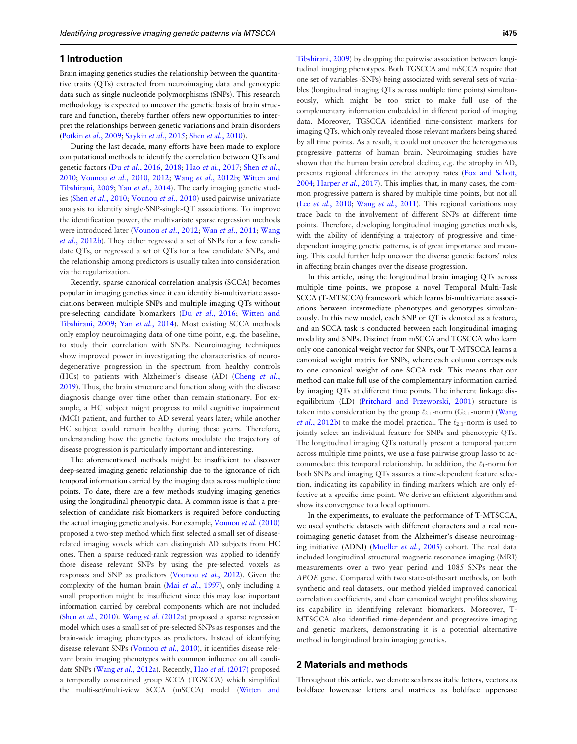#### 1 Introduction

Brain imaging genetics studies the relationship between the quantitative traits (QTs) extracted from neuroimaging data and genotypic data such as single nucleotide polymorphisms (SNPs). This research methodology is expected to uncover the genetic basis of brain structure and function, thereby further offers new opportunities to interpret the relationships between genetic variations and brain disorders ([Potkin](#page-8-0) et al., 2009; [Saykin](#page-8-0) et al., 2015; Shen et al.[, 2010\)](#page-8-0).

During the last decade, many efforts have been made to explore computational methods to identify the correlation between QTs and genetic factors (Du et al.[, 2016,](#page-8-0) [2018;](#page-8-0) Hao et al.[, 2017](#page-8-0); Shen [et al.](#page-8-0), [2010;](#page-8-0) [Vounou](#page-9-0) et al., 2010[, 2012;](#page-9-0) Wang et al.[, 2012b;](#page-9-0) [Witten and](#page-9-0) [Tibshirani, 2009;](#page-9-0) Yan et al.[, 2014](#page-9-0)). The early imaging genetic studies (Shen et al.[, 2010;](#page-8-0) [Vounou](#page-9-0) et al., 2010) used pairwise univariate analysis to identify single-SNP-single-QT associations. To improve the identification power, the multivariate sparse regression methods were introduced later ([Vounou](#page-9-0) et al., 2012; Wan et al.[, 2011](#page-9-0); [Wang](#page-9-0) et al.[, 2012b\)](#page-9-0). They either regressed a set of SNPs for a few candidate QTs, or regressed a set of QTs for a few candidate SNPs, and the relationship among predictors is usually taken into consideration via the regularization.

Recently, sparse canonical correlation analysis (SCCA) becomes popular in imaging genetics since it can identify bi-multivariate associations between multiple SNPs and multiple imaging QTs without pre-selecting candidate biomarkers (Du et al.[, 2016](#page-8-0); [Witten and](#page-9-0) [Tibshirani, 2009](#page-9-0); Yan et al.[, 2014\)](#page-9-0). Most existing SCCA methods only employ neuroimaging data of one time point, e.g. the baseline, to study their correlation with SNPs. Neuroimaging techniques show improved power in investigating the characteristics of neurodegenerative progression in the spectrum from healthy controls (HCs) to patients with Alzheimer's disease (AD) [\(Cheng](#page-8-0) et al., [2019\)](#page-8-0). Thus, the brain structure and function along with the disease diagnosis change over time other than remain stationary. For example, a HC subject might progress to mild cognitive impairment (MCI) patient, and further to AD several years later; while another HC subject could remain healthy during these years. Therefore, understanding how the genetic factors modulate the trajectory of disease progression is particularly important and interesting.

The aforementioned methods might be insufficient to discover deep-seated imaging genetic relationship due to the ignorance of rich temporal information carried by the imaging data across multiple time points. To date, there are a few methods studying imaging genetics using the longitudinal phenotypic data. A common issue is that a preselection of candidate risk biomarkers is required before conducting the actual imaging genetic analysis. For example, [Vounou](#page-9-0) et al. (2010) proposed a two-step method which first selected a small set of diseaserelated imaging voxels which can distinguish AD subjects from HC ones. Then a sparse reduced-rank regression was applied to identify those disease relevant SNPs by using the pre-selected voxels as responses and SNP as predictors [\(Vounou](#page-9-0) et al., 2012). Given the complexity of the human brain (Mai et al.[, 1997](#page-8-0)), only including a small proportion might be insufficient since this may lose important information carried by cerebral components which are not included (Shen et al.[, 2010\)](#page-8-0). Wang et al. [\(2012a\)](#page-9-0) proposed a sparse regression model which uses a small set of pre-selected SNPs as responses and the brain-wide imaging phenotypes as predictors. Instead of identifying disease relevant SNPs [\(Vounou](#page-9-0) et al., 2010), it identifies disease relevant brain imaging phenotypes with common influence on all candi-date SNPs (Wang et al.[, 2012a\)](#page-9-0). Recently, Hao et al. [\(2017\)](#page-8-0) proposed a temporally constrained group SCCA (TGSCCA) which simplified the multi-set/multi-view SCCA (mSCCA) model [\(Witten and](#page-9-0)

[Tibshirani, 2009\)](#page-9-0) by dropping the pairwise association between longitudinal imaging phenotypes. Both TGSCCA and mSCCA require that one set of variables (SNPs) being associated with several sets of variables (longitudinal imaging QTs across multiple time points) simultaneously, which might be too strict to make full use of the complementary information embedded in different period of imaging data. Moreover, TGSCCA identified time-consistent markers for imaging QTs, which only revealed those relevant markers being shared by all time points. As a result, it could not uncover the heterogeneous progressive patterns of human brain. Neuroimaging studies have shown that the human brain cerebral decline, e.g. the atrophy in AD, presents regional differences in the atrophy rates ([Fox and Schott,](#page-8-0) [2004](#page-8-0); [Harper](#page-8-0) et al., 2017). This implies that, in many cases, the common progressive pattern is shared by multiple time points, but not all (Lee et al.[, 2010;](#page-8-0) Wang et al.[, 2011](#page-9-0)). This regional variations may trace back to the involvement of different SNPs at different time points. Therefore, developing longitudinal imaging genetics methods, with the ability of identifying a trajectory of progressive and timedependent imaging genetic patterns, is of great importance and meaning. This could further help uncover the diverse genetic factors' roles in affecting brain changes over the disease progression.

In this article, using the longitudinal brain imaging QTs across multiple time points, we propose a novel Temporal Multi-Task SCCA (T-MTSCCA) framework which learns bi-multivariate associations between intermediate phenotypes and genotypes simultaneously. In this new model, each SNP or QT is denoted as a feature, and an SCCA task is conducted between each longitudinal imaging modality and SNPs. Distinct from mSCCA and TGSCCA who learn only one canonical weight vector for SNPs, our T-MTSCCA learns a canonical weight matrix for SNPs, where each column corresponds to one canonical weight of one SCCA task. This means that our method can make full use of the complementary information carried by imaging QTs at different time points. The inherent linkage disequilibrium (LD) ([Pritchard and Przeworski, 2001\)](#page-8-0) structure is taken into consideration by the group  $\ell_{2,1}$ -norm (G<sub>2,1</sub>-norm) ([Wang](#page-9-0) *et al.*[, 2012b\)](#page-9-0) to make the model practical. The  $\ell_{2,1}$ -norm is used to jointly select an individual feature for SNPs and phenotypic QTs. The longitudinal imaging QTs naturally present a temporal pattern across multiple time points, we use a fuse pairwise group lasso to accommodate this temporal relationship. In addition, the  $\ell_1$ -norm for both SNPs and imaging QTs assures a time-dependent feature selection, indicating its capability in finding markers which are only effective at a specific time point. We derive an efficient algorithm and show its convergence to a local optimum.

In the experiments, to evaluate the performance of T-MTSCCA, we used synthetic datasets with different characters and a real neuroimaging genetic dataset from the Alzheimer's disease neuroimag-ing initiative (ADNI) [\(Mueller](#page-8-0) et al., 2005) cohort. The real data included longitudinal structural magnetic resonance imaging (MRI) measurements over a two year period and 1085 SNPs near the APOE gene. Compared with two state-of-the-art methods, on both synthetic and real datasets, our method yielded improved canonical correlation coefficients, and clear canonical weight profiles showing its capability in identifying relevant biomarkers. Moreover, T-MTSCCA also identified time-dependent and progressive imaging and genetic markers, demonstrating it is a potential alternative method in longitudinal brain imaging genetics.

# 2 Materials and methods

Throughout this article, we denote scalars as italic letters, vectors as boldface lowercase letters and matrices as boldface uppercase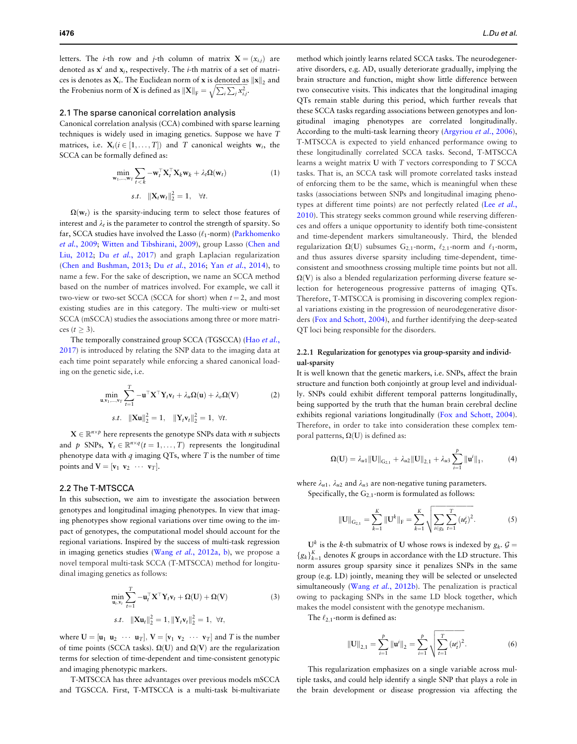<span id="page-2-0"></span>letters. The *i*-th row and *j*-th column of matrix  $X = (x_{i,j})$  are denoted as  $x^i$  and  $x_i$ , respectively. The *i*-th matrix of a set of matrices is denotes as  $X_i$ . The Euclidean norm of x is denoted as  $||x||_2$  and the Frobenius norm of **X** is defined as  $\|\mathbf{X}\|_{\mathrm{F}} = \sqrt{\sum_i \sum_j x_{ij}^2}$ .

#### 2.1 The sparse canonical correlation analysis

Canonical correlation analysis (CCA) combined with sparse learning techniques is widely used in imaging genetics. Suppose we have T matrices, i.e.  $X_i (i \in [1, \ldots, T])$  and T canonical weights  $w_i$ , the SCCA can be formally defined as:

$$
\min_{\mathbf{w}_1,\dots,\mathbf{w}_T} \sum_{t < k} -\mathbf{w}_t^\top \mathbf{X}_t^\top \mathbf{X}_k \mathbf{w}_k + \lambda_t \Omega(\mathbf{w}_t) \tag{1}
$$

$$
s.t. \quad \|\mathbf{X}_t\mathbf{w}_t\|_2^2=1, \quad \forall t.
$$

 $\Omega(\mathbf{w}_t)$  is the sparsity-inducing term to select those features of interest and  $\lambda_t$  is the parameter to control the strength of sparsity. So far, SCCA studies have involved the Lasso  $(\ell_1\text{-norm})$  [\(Parkhomenko](#page-8-0) et al.[, 2009](#page-8-0); [Witten and Tibshirani, 2009\)](#page-9-0), group Lasso [\(Chen and](#page-8-0) [Liu, 2012;](#page-8-0) Du et al.[, 2017](#page-8-0)) and graph Laplacian regularization ([Chen and Bushman, 2013](#page-8-0); Du et al.[, 2016](#page-8-0); Yan et al.[, 2014\)](#page-9-0), to name a few. For the sake of description, we name an SCCA method based on the number of matrices involved. For example, we call it two-view or two-set SCCA (SCCA for short) when  $t = 2$ , and most existing studies are in this category. The multi-view or multi-set SCCA (mSCCA) studies the associations among three or more matrices  $(t > 3)$ .

The temporally constrained group SCCA (TGSCCA) (Hao [et al.](#page-8-0), [2017\)](#page-8-0) is introduced by relating the SNP data to the imaging data at each time point separately while enforcing a shared canonical loading on the genetic side, i.e.

$$
\min_{\mathbf{u}, \mathbf{v}_1, \dots, \mathbf{v}_T} \sum_{t=1}^T -\mathbf{u}^\top \mathbf{X}^\top \mathbf{Y}_t \mathbf{v}_t + \lambda_u \Omega(\mathbf{u}) + \lambda_v \Omega(\mathbf{V})
$$
\n
$$
s.t. \quad ||\mathbf{Xu}||_2^2 = 1, \quad ||\mathbf{Y}_t \mathbf{v}_t||_2^2 = 1, \quad \forall t.
$$
\n
$$
(2)
$$

 $X \in \mathbb{R}^{n \times p}$  here represents the genotype SNPs data with *n* subjects and p SNPs,  $Y_t \in \mathbb{R}^{n \times q}$  ( $t = 1, ..., T$ ) represents the longitudinal phenotype data with  $q$  imaging QTs, where  $T$  is the number of time points and  $\mathbf{V} = [\mathbf{v}_1 \ \mathbf{v}_2 \ \cdots \ \mathbf{v}_T].$ 

#### 2.2 The T-MTSCCA

In this subsection, we aim to investigate the association between genotypes and longitudinal imaging phenotypes. In view that imaging phenotypes show regional variations over time owing to the impact of genotypes, the computational model should account for the regional variations. Inspired by the success of multi-task regression in imaging genetics studies (Wang et al.[, 2012a, b\)](#page-9-0), we propose a novel temporal multi-task SCCA (T-MTSCCA) method for longitudinal imaging genetics as follows:

$$
\min_{\mathbf{u}_t, \mathbf{v}_t} \sum_{t=1}^T -\mathbf{u}_t^\top \mathbf{X}^\top \mathbf{Y}_t \mathbf{v}_t + \Omega(\mathbf{U}) + \Omega(\mathbf{V})
$$
\n
$$
\text{s.t.} \quad \|\mathbf{X}\mathbf{u}_t\|_2^2 = 1, \|\mathbf{Y}_t \mathbf{v}_t\|_2^2 = 1, \ \forall t,
$$
\n(3)

where  $U = [\mathbf{u}_1 \ \mathbf{u}_2 \ \cdots \ \mathbf{u}_T], \ V = [\mathbf{v}_1 \ \mathbf{v}_2 \ \cdots \ \mathbf{v}_T]$  and T is the number of time points (SCCA tasks).  $\Omega(U)$  and  $\Omega(V)$  are the regularization terms for selection of time-dependent and time-consistent genotypic and imaging phenotypic markers.

T-MTSCCA has three advantages over previous models mSCCA and TGSCCA. First, T-MTSCCA is a multi-task bi-multivariate

method which jointly learns related SCCA tasks. The neurodegenerative disorders, e.g. AD, usually deteriorate gradually, implying the brain structure and function, might show little difference between two consecutive visits. This indicates that the longitudinal imaging QTs remain stable during this period, which further reveals that these SCCA tasks regarding associations between genotypes and longitudinal imaging phenotypes are correlated longitudinally. According to the multi-task learning theory [\(Argyriou](#page-8-0) et al., 2006), T-MTSCCA is expected to yield enhanced performance owing to these longitudinally correlated SCCA tasks. Second, T-MTSCCA learns a weight matrix U with T vectors corresponding to T SCCA tasks. That is, an SCCA task will promote correlated tasks instead of enforcing them to be the same, which is meaningful when these tasks (associations between SNPs and longitudinal imaging phenotypes at different time points) are not perfectly related (Lee [et al.](#page-8-0), [2010\)](#page-8-0). This strategy seeks common ground while reserving differences and offers a unique opportunity to identify both time-consistent and time-dependent markers simultaneously. Third, the blended regularization  $\Omega(U)$  subsumes G<sub>2,1</sub>-norm,  $\ell_{2,1}$ -norm and  $\ell_1$ -norm, and thus assures diverse sparsity including time-dependent, timeconsistent and smoothness crossing multiple time points but not all.  $\Omega(V)$  is also a blended regularization performing diverse feature selection for heterogeneous progressive patterns of imaging QTs. Therefore, T-MTSCCA is promising in discovering complex regional variations existing in the progression of neurodegenerative disorders [\(Fox and Schott, 2004\)](#page-8-0), and further identifying the deep-seated QT loci being responsible for the disorders.

## 2.2.1 Regularization for genotypes via group-sparsity and individual-sparsity

It is well known that the genetic markers, i.e. SNPs, affect the brain structure and function both conjointly at group level and individually. SNPs could exhibit different temporal patterns longitudinally, being supported by the truth that the human brain cerebral decline exhibits regional variations longitudinally [\(Fox and Schott, 2004](#page-8-0)). Therefore, in order to take into consideration these complex temporal patterns,  $\Omega(U)$  is defined as:

$$
\Omega(\mathbf{U}) = \lambda_{u1} \|\mathbf{U}\|_{G_{2,1}} + \lambda_{u2} \|\mathbf{U}\|_{2,1} + \lambda_{u3} \sum_{i=1}^{p} \|\mathbf{u}^{i}\|_{1},
$$
 (4)

where  $\lambda_{u1}$ ,  $\lambda_{u2}$  and  $\lambda_{u3}$  are non-negative tuning parameters. Specifically, the  $G_{2,1}$ -norm is formulated as follows:

$$
\|\mathbf{U}\|_{G_{2,1}} = \sum_{k=1}^{K} \|\mathbf{U}^{k}\|_{F} = \sum_{k=1}^{K} \sqrt{\sum_{i \in g_{k}} \sum_{t=1}^{T} (u_{t}^{i})^{2}}.
$$
 (5)

 $U^k$  is the k-th submatrix of U whose rows is indexed by  $g_k$ .  $\mathcal{G} =$  ${g_k}_{k=1}^K$  denotes K groups in accordance with the LD structure. This norm assures group sparsity since it penalizes SNPs in the same group (e.g. LD) jointly, meaning they will be selected or unselected simultaneously (Wang et al.[, 2012b](#page-9-0)). The penalization is practical owing to packaging SNPs in the same LD block together, which makes the model consistent with the genotype mechanism.

The  $\ell_{2,1}$ -norm is defined as:

$$
\|\mathbf{U}\|_{2,1} = \sum_{i=1}^{p} \|\mathbf{u}^{i}\|_{2} = \sum_{i=1}^{p} \sqrt{\sum_{t=1}^{T} (u_{t}^{i})^{2}}.
$$
 (6)

This regularization emphasizes on a single variable across multiple tasks, and could help identify a single SNP that plays a role in the brain development or disease progression via affecting the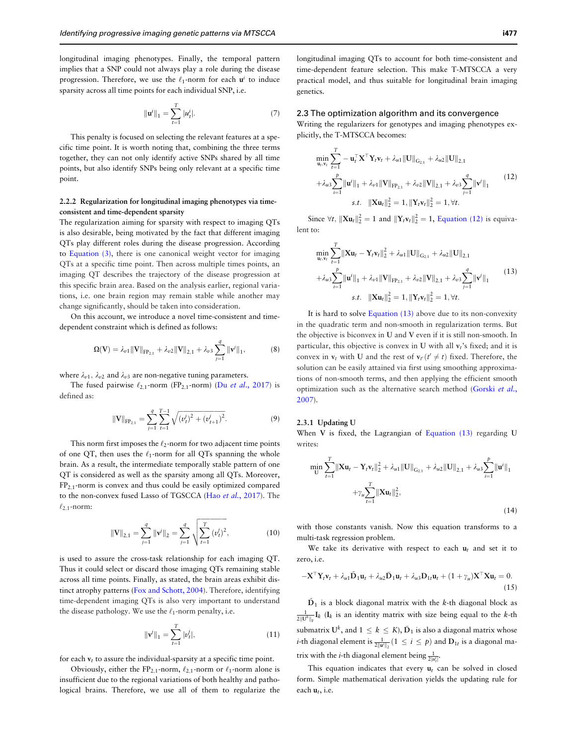<span id="page-3-0"></span>longitudinal imaging phenotypes. Finally, the temporal pattern implies that a SNP could not always play a role during the disease progression. Therefore, we use the  $\ell_1$ -norm for each  $\mathbf{u}^i$  to induce sparsity across all time points for each individual SNP, i.e.

$$
\|\mathbf{u}^i\|_1 = \sum_{t=1}^T |u_t^i|.\tag{7}
$$

This penalty is focused on selecting the relevant features at a specific time point. It is worth noting that, combining the three terms together, they can not only identify active SNPs shared by all time points, but also identify SNPs being only relevant at a specific time point.

## 2.2.2 Regularization for longitudinal imaging phenotypes via timeconsistent and time-dependent sparsity

The regularization aiming for sparsity with respect to imaging QTs is also desirable, being motivated by the fact that different imaging QTs play different roles during the disease progression. According to [Equation \(3\)](#page-2-0), there is one canonical weight vector for imaging QTs at a specific time point. Then across multiple times points, an imaging QT describes the trajectory of the disease progression at this specific brain area. Based on the analysis earlier, regional variations, i.e. one brain region may remain stable while another may change significantly, should be taken into consideration.

On this account, we introduce a novel time-consistent and timedependent constraint which is defined as follows:

$$
\Omega(\mathbf{V}) = \lambda_{\nu 1} \|\mathbf{V}\|_{\text{FP}_{2,1}} + \lambda_{\nu 2} \|\mathbf{V}\|_{2,1} + \lambda_{\nu 3} \sum_{j=1}^{q} \|\mathbf{v}^{j}\|_{1},
$$
 (8)

where  $\lambda_{v1}$ ,  $\lambda_{v2}$  and  $\lambda_{v3}$  are non-negative tuning parameters.

The fused pairwise  $\ell_{2,1}$ -norm (FP<sub>2,1</sub>-norm) (Du et al.[, 2017\)](#page-8-0) is defined as:

$$
\|\mathbf{V}\|_{\mathrm{FP}_{2,1}} = \sum_{j=1}^{q} \sum_{t=1}^{T-1} \sqrt{(v_t^j)^2 + (v_{t+1}^j)^2}.
$$
 (9)

This norm first imposes the  $\ell_2$ -norm for two adjacent time points of one QT, then uses the  $\ell_1$ -norm for all QTs spanning the whole brain. As a result, the intermediate temporally stable pattern of one QT is considered as well as the sparsity among all QTs. Moreover, FP2;1-norm is convex and thus could be easily optimized compared to the non-convex fused Lasso of TGSCCA (Hao et al.[, 2017](#page-8-0)). The  $\ell_{2.1}$ -norm:

$$
\|\mathbf{V}\|_{2,1} = \sum_{j=1}^{q} \|\mathbf{v}^{j}\|_{2} = \sum_{j=1}^{q} \sqrt{\sum_{t=1}^{T} (v_{t}^{j})^{2}},
$$
(10)

is used to assure the cross-task relationship for each imaging QT. Thus it could select or discard those imaging QTs remaining stable across all time points. Finally, as stated, the brain areas exhibit distinct atrophy patterns [\(Fox and Schott, 2004\)](#page-8-0). Therefore, identifying time-dependent imaging QTs is also very important to understand the disease pathology. We use the  $\ell_1$ -norm penalty, i.e.

$$
\|\mathbf{v}^j\|_1 = \sum_{t=1}^T |\nu_t^j|,\tag{11}
$$

for each  $v_t$  to assure the individual-sparsity at a specific time point.

Obviously, either the FP<sub>2.1</sub>-norm,  $\ell_{2.1}$ -norm or  $\ell_1$ -norm alone is insufficient due to the regional variations of both healthy and pathological brains. Therefore, we use all of them to regularize the

longitudinal imaging QTs to account for both time-consistent and time-dependent feature selection. This make T-MTSCCA a very practical model, and thus suitable for longitudinal brain imaging genetics.

#### 2.3 The optimization algorithm and its convergence

Writing the regularizers for genotypes and imaging phenotypes explicitly, the T-MTSCCA becomes:

$$
\min_{\mathbf{u}_t, \mathbf{v}_t} \sum_{t=1}^T - \mathbf{u}_t^\top \mathbf{X}^\top \mathbf{Y}_t \mathbf{v}_t + \lambda_{u1} ||\mathbf{U}||_{G_{2,1}} + \lambda_{u2} ||\mathbf{U}||_{2,1} \n+ \lambda_{u3} \sum_{i=1}^p ||\mathbf{u}^i||_1 + \lambda_{v1} ||\mathbf{V}||_{\text{FP}_{2,1}} + \lambda_{v2} ||\mathbf{V}||_{2,1} + \lambda_{v3} \sum_{j=1}^q ||\mathbf{v}^j||_1 \ns.t. \quad ||\mathbf{X} \mathbf{u}_t||_2^2 = 1, ||\mathbf{Y}_t \mathbf{v}_t||_2^2 = 1, \forall t.
$$
\n(12)

Since  $\forall t, \|Xu_t\|_2^2 = 1$  and  $\|Y_t v_t\|_2^2 = 1$ , Equation (12) is equivalent to:

$$
\min_{\mathbf{u}_{t}, \mathbf{v}_{t}} \sum_{t=1}^{T} ||\mathbf{X} \mathbf{u}_{t} - \mathbf{Y}_{t} \mathbf{v}_{t}||_{2}^{2} + \lambda_{u1} ||\mathbf{U}||_{\mathbf{G}_{2,1}} + \lambda_{u2} ||\mathbf{U}||_{2,1} \n+ \lambda_{u3} \sum_{i=1}^{p} ||\mathbf{u}^{i}||_{1} + \lambda_{v1} ||\mathbf{V}||_{\text{FP}_{2,1}} + \lambda_{v2} ||\mathbf{V}||_{2,1} + \lambda_{v3} \sum_{j=1}^{q} ||\mathbf{v}^{j}||_{1} \ns.t. \quad ||\mathbf{X} \mathbf{u}_{t}||_{2}^{2} = 1, ||\mathbf{Y}_{t} \mathbf{v}_{t}||_{2}^{2} = 1, \forall t.
$$
\n
$$
(13)
$$

It is hard to solve Equation (13) above due to its non-convexity in the quadratic term and non-smooth in regularization terms. But the objective is biconvex in U and V even if it is still non-smooth. In particular, this objective is convex in U with all  $v_t$ 's fixed; and it is convex in  $v_t$  with U and the rest of  $v_{t'}(t' \neq t)$  fixed. Therefore, the solution can be easily attained via first using smoothing approximations of non-smooth terms, and then applying the efficient smooth optimization such as the alternative search method [\(Gorski](#page-8-0) et al., [2007\)](#page-8-0).

# 2.3.1 Updating U

When V is fixed, the Lagrangian of Equation (13) regarding U writes:

$$
\min_{\mathbf{U}} \sum_{t=1}^{T} \|\mathbf{X}\mathbf{u}_{t} - \mathbf{Y}_{t}\mathbf{v}_{t}\|_{2}^{2} + \lambda_{u1} \|\mathbf{U}\|_{\mathbf{G}_{2,1}} + \lambda_{u2} \|\mathbf{U}\|_{2,1} + \lambda_{u3} \sum_{i=1}^{p} \|\mathbf{u}^{i}\|_{1} + \gamma_{u} \sum_{t=1}^{T} \|\mathbf{X}\mathbf{u}_{t}\|_{2}^{2},
$$
\n(14)

with those constants vanish. Now this equation transforms to a multi-task regression problem.

We take its derivative with respect to each  $\mathbf{u}_t$  and set it to zero, i.e.

$$
-\mathbf{X}^{\top}\mathbf{Y}_{t}\mathbf{v}_{t} + \lambda_{u1}\tilde{\mathbf{D}}_{1}\mathbf{u}_{t} + \lambda_{u2}\tilde{\mathbf{D}}_{1}\mathbf{u}_{t} + \lambda_{u3}\mathbf{D}_{1t}\mathbf{u}_{t} + (1 + \gamma_{u})\mathbf{X}^{\top}\mathbf{X}\mathbf{u}_{t} = 0.
$$
\n(15)

 $\tilde{D}_1$  is a block diagonal matrix with the k-th diagonal block as  $\frac{1}{2\|U^k\|_F}$  **I**<sub>k</sub> (**I**<sub>k</sub> is an identity matrix with size being equal to the *k*-th submatrix  $\mathrm{U}^k,$  and  $1\,\leq\,k\,\leq\,K),$   $\bar{\mathrm{D}}_1$  is also a diagonal matrix whose *i*-th diagonal element is  $\frac{1}{2\|u^i\|_2}$  ( $1 \le i \le p$ ) and  $D_{1t}$  is a diagonal matrix with the *i*-th diagonal element being  $\frac{1}{2|u_i|}$ .

This equation indicates that every  $\mathbf{u}_t$  can be solved in closed form. Simple mathematical derivation yields the updating rule for each  $\mathbf{u}_t$ , i.e.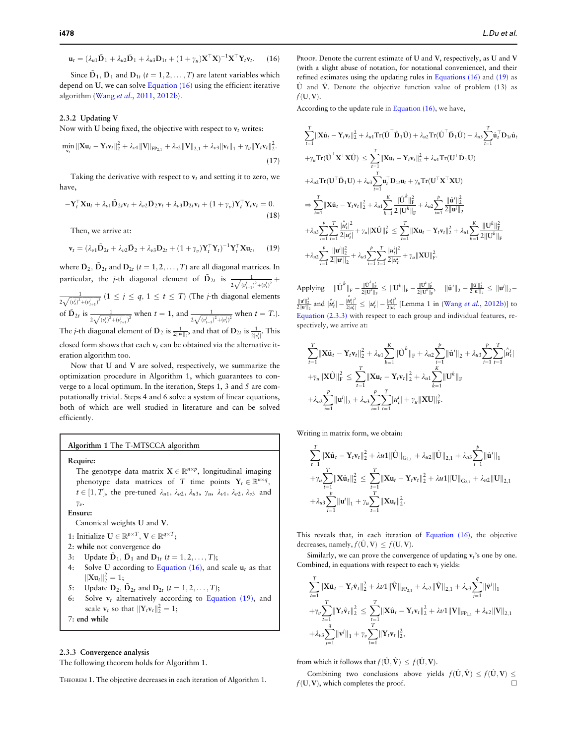<span id="page-4-0"></span>
$$
\mathbf{u}_t = (\lambda_{u1}\tilde{\mathbf{D}}_1 + \lambda_{u2}\bar{\mathbf{D}}_1 + \lambda_{u3}\mathbf{D}_{1t} + (1 + \gamma_u)\mathbf{X}^\top\mathbf{X})^{-1}\mathbf{X}^\top\mathbf{Y}_t\mathbf{v}_t. \tag{16}
$$

Since  $\tilde{\mathbf{D}}_1$ ,  $\bar{\mathbf{D}}_1$  and  $\mathbf{D}_{1t}$  ( $t = 1, 2, ..., T$ ) are latent variables which depend on U, we can solve [Equation \(16\)](#page-3-0) using the efficient iterative algorithm (Wang et al.[, 2011](#page-9-0), [2012b\)](#page-9-0).

#### 2.3.2 Updating V

Now with U being fixed, the objective with respect to  $v_t$  writes:

$$
\min_{\mathbf{v}_t} \|\mathbf{X}\mathbf{u}_t - \mathbf{Y}_t \mathbf{v}_t\|_2^2 + \lambda_{\nu 1} \|\mathbf{V}\|_{\text{FP}_{2,1}} + \lambda_{\nu 2} \|\mathbf{V}\|_{2,1} + \lambda_{\nu 3} \|\mathbf{v}_t\|_1 + \gamma_{\nu} \|\mathbf{Y}_t \mathbf{v}_t\|_2^2.
$$
\n(17)

Taking the derivative with respect to  $v_t$  and setting it to zero, we have,

$$
-\mathbf{Y}_{t}^{\top}\mathbf{X}\mathbf{u}_{t}+\lambda_{v1}\tilde{\mathbf{D}}_{2t}\mathbf{v}_{t}+\lambda_{v2}\bar{\mathbf{D}}_{2}\mathbf{v}_{t}+\lambda_{v3}\mathbf{D}_{2t}\mathbf{v}_{t}+(1+\gamma_{v})\mathbf{Y}_{t}^{\top}\mathbf{Y}_{t}\mathbf{v}_{t}=0.
$$
\n(18)

Then, we arrive at:

$$
\mathbf{v}_t = (\lambda_{v1}\tilde{\mathbf{D}}_{2t} + \lambda_{v2}\tilde{\mathbf{D}}_2 + \lambda_{v3}\mathbf{D}_{2t} + (1 + \gamma_v)\mathbf{Y}_t^\top\mathbf{Y}_t)^{-1}\mathbf{Y}_t^\top\mathbf{X}\mathbf{u}_t, \qquad (19)
$$

where  $\bar{\mathbf{D}}_2$ ,  $\tilde{\mathbf{D}}_{2t}$  and  $\mathbf{D}_{2t}$  ( $t = 1, 2, ..., T$ ) are all diagonal matrices. In particular, the *j*-th diagonal element of  $\tilde{D}_{2t}$  is  $\frac{1}{2\sqrt{(v_{t-1}^j)^2 + (v_t^j)^2}} +$ 1  $\frac{1}{2\sqrt{(\nu_i^j + (\nu_{i+1}^j)^2}}$  (1  $\leq j \leq q$ , 1  $\leq t \leq T$ ) (The *j*-th diagonal elements of  $\tilde{D}_{2t}$  is  $\frac{1}{2\sqrt{(v_t^j)^2 + (v_{t+1}^j)^2}}$  when  $t = 1$ , and  $\frac{1}{2\sqrt{(v_{t-1}^j)^2 + (v_t^j)^2}}$  when  $t = T$ .). The *j*-th diagonal element of  $\bar{D}_2$  is  $\frac{1}{2\|v\|_2}$ , and that of  $D_{2t}$  is  $\frac{1}{2|v_t'|}$ . This closed form shows that each  $v_t$  can be obtained via the alternative iteration algorithm too.

Now that U and V are solved, respectively, we summarize the optimization procedure in Algorithm 1, which guarantees to converge to a local optimum. In the iteration, Steps 1, 3 and 5 are computationally trivial. Steps 4 and 6 solve a system of linear equations, both of which are well studied in literature and can be solved efficiently.

Algorithm 1 The T-MTSCCA algorithm

Require:

The genotype data matrix  $X \in \mathbb{R}^{n \times p}$ , longitudinal imaging phenotype data matrices of T time points  $Y_t \in \mathbb{R}^{n \times q}$ ,  $t \in [1, T]$ , the pre-tuned  $\lambda_{u1}$ ,  $\lambda_{u2}$ ,  $\lambda_{u3}$ ,  $\gamma_u$ ,  $\lambda_{v1}$ ,  $\lambda_{v2}$ ,  $\lambda_{v3}$  and  $\gamma_{\nu}$ .

Ensure:

Canonical weights U and V.

1: Initialize  $\mathbf{U} \in \mathbb{R}^{p \times T}$ ,  $\mathbf{V} \in \mathbb{R}^{q \times T}$ ;

2: while not convergence do

- 3: Update  $\tilde{D}_1$ ,  $\bar{D}_1$  and  $D_{1t}$  ( $t = 1, 2, ..., T$ );
- 4: Solve U according to [Equation \(16\),](#page-3-0) and scale  $u_t$  as that  $\|{\bf X}{\bf u}_t\|_2^2=1;$
- 5: Update  $\bar{\mathbf{D}}_2$ ,  $\tilde{\mathbf{D}}_{2t}$  and  $\mathbf{D}_{2t}$   $(t = 1, 2, \dots, T)$ ;
- 6: Solve  $v_t$  alternatively according to Equation (19), and scale  $\mathbf{v}_t$  so that  $\|\mathbf{Y}_t \mathbf{v}_t\|_2^2 = 1$ ; 7: end while

# 2.3.3 Convergence analysis

The following theorem holds for Algorithm 1.

THEOREM 1. The objective decreases in each iteration of Algorithm 1.

PROOF. Denote the current estimate of U and V, respectively, as U and V (with a slight abuse of notation, for notational convenience), and their refined estimates using the updating rules in [Equations \(16\)](#page-3-0) and [\(19\)](#page-3-0) as  $\hat{U}$  and  $\hat{V}$ . Denote the objective function value of problem (13) as  $f$ **(U**, **V**).

According to the update rule in [Equation \(16\),](#page-3-0) we have,

$$
\begin{aligned} &\sum_{t=1}^{T}\lVert\mathbf{X}\hat{\mathbf{u}}_{t}-\mathbf{Y}_{t}\mathbf{v}_{t}\rVert_{2}^{2}+\lambda_{u1}\text{Tr}(\hat{\mathbf{U}}^{\top}\tilde{\mathbf{D}}_{1}\hat{\mathbf{U}})+\lambda_{u2}\text{Tr}(\hat{\mathbf{U}}^{\top}\bar{\mathbf{D}}_{1}\hat{\mathbf{U}})+\lambda_{u3}\sum_{t=1}^{T}\hat{\mathbf{u}}_{t}^{\top}\mathbf{D}_{1t}\hat{\mathbf{u}}_{t}\\ &+\gamma_{u}\text{Tr}(\hat{\mathbf{U}}^{\top}\mathbf{X}^{\top}\mathbf{X}\hat{\mathbf{U}})\leq\sum_{t=1}^{T}\lVert\mathbf{X}\mathbf{u}_{t}-\mathbf{Y}_{t}\mathbf{v}_{t}\rVert_{2}^{2}+\lambda_{u1}\text{Tr}(\mathbf{U}^{\top}\tilde{\mathbf{D}}_{1}\mathbf{U})\\ &+\lambda_{u2}\text{Tr}(\mathbf{U}^{\top}\bar{\mathbf{D}}_{1}\mathbf{U})+\lambda_{u3}\sum_{t=1}^{T}\mathbf{u}_{t}^{\top}\mathbf{D}_{1t}\mathbf{u}_{t}+\gamma_{u}\text{Tr}(\mathbf{U}^{\top}\mathbf{X}^{\top}\mathbf{X}\mathbf{U})\\ &\Rightarrow\sum_{t=1}^{T}\lVert\mathbf{X}\hat{\mathbf{u}}_{t}-\mathbf{Y}_{t}\mathbf{v}_{t}\rVert_{2}^{2}+\lambda_{u1}\sum_{k=1}^{K}\frac{\lVert\hat{\mathbf{U}}^{k}\rVert_{F}^{2}}{2\lVert\mathbf{U}^{k}\rVert_{F}}+\lambda_{u2}\sum_{i=1}^{p}\frac{\lVert\hat{\mathbf{u}}^{i}\rVert_{2}^{2}}{2\lVert\mathbf{u}^{i}\rVert_{2}}\\ &+\lambda_{u3}\sum_{i=1}^{p}\sum_{t=1}^{T}\frac{|\hat{\mathbf{u}}_{t}^{i}|^{2}}{2\lVert\mathbf{u}_{t}^{i}\rVert}+\gamma_{u}\lVert\mathbf{X}\hat{\mathbf{U}}\rVert_{F}^{2}\leq\sum_{t=1}^{T}\lVert\mathbf{X}\mathbf{u}_{t}-\mathbf{Y}_{t}\mathbf{v}_{t}\rVert_{2}^{2}+\lambda_{u1}\sum_{k=1}^{K}\frac{\
$$

 $\text{Applying } \quad \|\hat{\textbf{U}}^{k}\|_{\textbf{F}} - \frac{\|\hat{\textbf{U}}^{k}\|_{\textbf{F}}^{2}}{2\|\textbf{U}^{k}\|_{\textbf{F}}} \leq \|\textbf{U}^{k}\|_{\textbf{F}} - \frac{\|\textbf{U}^{k}\|_{\textbf{F}}^{2}}{2\|\textbf{U}^{k}\|_{\textbf{F}}}, \quad \|\hat{\textbf{u}}^{i}\|_{2} - \frac{\|\hat{\textbf{u}}^{i}\|_{2}^{2}}{2\|\textbf{u}^{i}\|_{2}} \leq \|\textbf{u}^{i}\|_{2} - \frac{1}{2$  $\frac{\|u'\|_2^2}{2\|u'\|_2}$  and  $|\hat{u}_t'|- \frac{|\hat{u}_t'|^2}{2|u_t'|} \leq |u_t'| - \frac{|u_t'|^2}{2|u_t'|}$  [Lemma 1 in (Wang *et al.*[, 2012b\)](#page-9-0)] to [Equation \(2.3.3\)](#page-2-0) with respect to each group and individual features, respectively, we arrive at:

$$
\sum_{t=1}^{T} ||X\hat{\mathbf{u}}_t - Y_t \mathbf{v}_t||_2^2 + \lambda_{u1} \sum_{k=1}^{K} ||\hat{\mathbf{U}}^k||_F + \lambda_{u2} \sum_{i=1}^{p} ||\hat{\mathbf{u}}^i||_2 + \lambda_{u3} \sum_{i=1}^{p} \sum_{t=1}^{T} |\hat{\mathbf{u}}_t^i|
$$
  
+ $\gamma_u ||X\hat{\mathbf{U}}||_F^2 \le \sum_{t=1}^{T} ||X\mathbf{u}_t - Y_t \mathbf{v}_t||_2^2 + \lambda_{u1} \sum_{k=1}^{K} ||\mathbf{U}^k||_F$   
+ $\lambda_{u2} \sum_{i=1}^{p} ||\mathbf{u}^i||_2 + \lambda_{u3} \sum_{i=1}^{p} \sum_{t=1}^{T} |u_t^i| + \gamma_u ||X\mathbf{U}||_F^2.$ 

Writing in matrix form, we obtain:

$$
\sum_{t=1}^T \|\mathbf{X}\hat{\mathbf{u}}_t - \mathbf{Y}_t \mathbf{v}_t\|_2^2 + \lambda \mu \mathbf{1} \|\hat{\mathbf{U}}\|_{G_{2,1}} + \lambda \mu \mathbf{1} \|\hat{\mathbf{U}}\|_{2,1} + \lambda \mu \mathbf{1} \sum_{i=1}^P \|\hat{\mathbf{u}}^i\|_1
$$
  
+ $\gamma \mu \sum_{t=1}^T \|\mathbf{X}\hat{\mathbf{u}}_t\|_2^2 \le \sum_{t=1}^T \|\mathbf{X}\mathbf{u}_t - \mathbf{Y}_t \mathbf{v}_t\|_2^2 + \lambda \mu \mathbf{1} \|\mathbf{U}\|_{G_{2,1}} + \lambda \mu \mathbf{1} \|\mathbf{U}\|_{2,1}$   
+ $\lambda \mu \mathbf{1} \sum_{i=1}^P \|\mathbf{u}^i\|_1 + \gamma \mu \sum_{t=1}^T \|\mathbf{X}\mathbf{u}_t\|_2^2.$ 

This reveals that, in each iteration of [Equation \(16\)](#page-3-0), the objective decreases, namely,  $f(U, V) \leq f(U, V)$ .

Similarly, we can prove the convergence of updating  $v_t$ 's one by one. Combined, in equations with respect to each  $v_t$  yields:

$$
\sum_{t=1}^T \|\mathbf{X}\hat{\mathbf{u}}_t - \mathbf{Y}_t \hat{\mathbf{v}}_t\|_2^2 + \lambda \nu \mathbf{1} \|\hat{\mathbf{V}}\|_{\text{FP}_{2,1}} + \lambda \nu \mathbf{1} \|\hat{\mathbf{V}}\|_{2,1} + \lambda \nu \mathbf{1} \sum_{j=1}^q \|\hat{\mathbf{v}}^j\|_1
$$
  
+ $\gamma \nu \sum_{t=1}^T \|\mathbf{Y}_t \hat{\mathbf{v}}_t\|_2^2 \le \sum_{t=1}^T \|\mathbf{X}\hat{\mathbf{u}}_t - \mathbf{Y}_t \mathbf{v}_t\|_2^2 + \lambda \nu \mathbf{1} \|\mathbf{V}\|_{\text{FP}_{2,1}} + \lambda \nu \mathbf{1} \|\mathbf{V}\|_{2,1}$   
+ $\lambda \nu \mathbf{1} \sum_{j=1}^q \|\mathbf{v}^j\|_1 + \gamma \nu \sum_{t=1}^T \|\mathbf{Y}_t \mathbf{v}_t\|_2^2$ ,

from which it follows that  $f(\hat{\mathbf{U}}, \hat{\mathbf{V}}) \leq f(\hat{\mathbf{U}}, \mathbf{V}).$ 

Combining two conclusions above yields  $f(\hat{U}, \hat{V}) \leq f(\hat{U}, V) \leq$  $f$ (U, V), which completes the proof.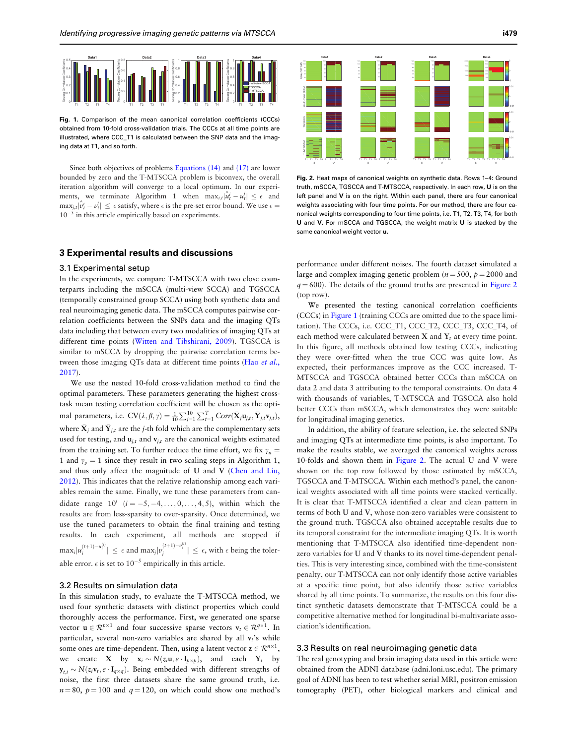

Fig. 1. Comparison of the mean canonical correlation coefficients (CCCs) obtained from 10-fold cross-validation trials. The CCCs at all time points are illustrated, where CCC\_T1 is calculated between the SNP data and the imaging data at T1, and so forth.

Since both objectives of problems [Equations \(14\)](#page-3-0) and [\(17\)](#page-4-0) are lower bounded by zero and the T-MTSCCA problem is biconvex, the overall iteration algorithm will converge to a local optimum. In our experiments, we terminate Algorithm 1 when  $\max_{i,t} |\hat{u}_t^i - u_t^j| \leq \epsilon$  and  $\max_{j,t} |\hat{v}^i_t - v^j_t| \leq \epsilon$  satisfy, where  $\epsilon$  is the pre-set error bound. We use  $\epsilon =$  $10^{-5}$  in this article empirically based on experiments.

# 3 Experimental results and discussions

#### 3.1 Experimental setup

In the experiments, we compare T-MTSCCA with two close counterparts including the mSCCA (multi-view SCCA) and TGSCCA (temporally constrained group SCCA) using both synthetic data and real neuroimaging genetic data. The mSCCA computes pairwise correlation coefficients between the SNPs data and the imaging QTs data including that between every two modalities of imaging QTs at different time points [\(Witten and Tibshirani, 2009](#page-9-0)). TGSCCA is similar to mSCCA by dropping the pairwise correlation terms between those imaging OTs data at different time points (Hao [et al.](#page-8-0), [2017\)](#page-8-0).

We use the nested 10-fold cross-validation method to find the optimal parameters. These parameters generating the highest crosstask mean testing correlation coefficient will be chosen as the optimal parameters, i.e.  $CV(\lambda, \beta, \gamma) = \frac{1}{10} \sum_{j=1}^{10} \sum_{t=1}^{T} Corr(\bar{X}_j \mathbf{u}_{j,t}, \bar{Y}_{j,t} \mathbf{v}_{j,t})$ where  $\bar{\mathbf{X}}_j$  and  $\bar{\mathbf{Y}}_{j,t}$  are the  $j$ -th fold which are the complementary sets used for testing, and  $\mathbf{u}_{i,t}$  and  $\mathbf{v}_{i,t}$  are the canonical weights estimated from the training set. To further reduce the time effort, we fix  $\gamma_u$  = 1 and  $\gamma_{\nu} = 1$  since they result in two scaling steps in Algorithm 1, and thus only affect the magnitude of U and V ([Chen and Liu,](#page-8-0) [2012\)](#page-8-0). This indicates that the relative relationship among each variables remain the same. Finally, we tune these parameters from candidate range  $10^{i}$   $(i = -5, -4, \ldots, 0, \ldots, 4, 5)$ , within which the results are from less-sparsity to over-sparsity. Once determined, we use the tuned parameters to obtain the final training and testing results. In each experiment, all methods are stopped if  $\max_i |u_i^{(t+1)-u_i^{(t)}}| \leq \epsilon$  and  $\max_i |v_j^{(t+1)-v_j^{(t)}}| \leq \epsilon$ , with  $\epsilon$  being the tolerable error.  $\epsilon$  is set to  $10^{-5}$  empirically in this article.

# 3.2 Results on simulation data

In this simulation study, to evaluate the T-MTSCCA method, we used four synthetic datasets with distinct properties which could thoroughly access the performance. First, we generated one sparse vector  $\mathbf{u} \in \mathcal{R}^{p \times 1}$  and four successive sparse vectors  $\mathbf{v}_t \in \mathcal{R}^{q \times 1}$ . In particular, several non-zero variables are shared by all  $v_t$ 's while some ones are time-dependent. Then, using a latent vector  $z \in \mathcal{R}^{n \times 1}$ , we create **X** by  $\mathbf{x}_i \sim N(z_i \mathbf{u}, e \cdot \mathbf{I}_{p \times p})$ , and each  $Y_t$  by  $y_{t,i} \sim N(z_i v_t, e \cdot I_{q \times q})$ . Being embedded with different strengths of noise, the first three datasets share the same ground truth, i.e.  $n = 80$ ,  $p = 100$  and  $q = 120$ , on which could show one method's



Fig. 2. Heat maps of canonical weights on synthetic data. Rows 1–4: Ground truth, mSCCA, TGSCCA and T-MTSCCA, respectively. In each row, U is on the left panel and V is on the right. Within each panel, there are four canonical weights associating with four time points. For our method, there are four canonical weights corresponding to four time points, i.e. T1, T2, T3, T4, for both U and V. For mSCCA and TGSCCA, the weight matrix U is stacked by the same canonical weight vector **u**.

performance under different noises. The fourth dataset simulated a large and complex imaging genetic problem ( $n = 500$ ,  $p = 2000$  and  $q = 600$ ). The details of the ground truths are presented in Figure 2 (top row).

We presented the testing canonical correlation coefficients (CCCs) in Figure 1 (training CCCs are omitted due to the space limitation). The CCCs, i.e. CCC\_T1, CCC\_T2, CCC\_T3, CCC\_T4, of each method were calculated between  $X$  and  $Y_t$  at every time point. In this figure, all methods obtained low testing CCCs, indicating they were over-fitted when the true CCC was quite low. As expected, their performances improve as the CCC increased. T-MTSCCA and TGSCCA obtained better CCCs than mSCCA on data 2 and data 3 attributing to the temporal constraints. On data 4 with thousands of variables, T-MTSCCA and TGSCCA also hold better CCCs than mSCCA, which demonstrates they were suitable for longitudinal imaging genetics.

In addition, the ability of feature selection, i.e. the selected SNPs and imaging QTs at intermediate time points, is also important. To make the results stable, we averaged the canonical weights across 10-folds and shown them in Figure 2. The actual U and V were shown on the top row followed by those estimated by mSCCA, TGSCCA and T-MTSCCA. Within each method's panel, the canonical weights associated with all time points were stacked vertically. It is clear that T-MTSCCA identified a clear and clean pattern in terms of both U and V, whose non-zero variables were consistent to the ground truth. TGSCCA also obtained acceptable results due to its temporal constraint for the intermediate imaging QTs. It is worth mentioning that T-MTSCCA also identified time-dependent nonzero variables for U and V thanks to its novel time-dependent penalties. This is very interesting since, combined with the time-consistent penalty, our T-MTSCCA can not only identify those active variables at a specific time point, but also identify those active variables shared by all time points. To summarize, the results on this four distinct synthetic datasets demonstrate that T-MTSCCA could be a competitive alternative method for longitudinal bi-multivariate association's identification.

#### 3.3 Results on real neuroimaging genetic data

The real genotyping and brain imaging data used in this article were obtained from the ADNI database (adni.loni.usc.edu). The primary goal of ADNI has been to test whether serial MRI, positron emission tomography (PET), other biological markers and clinical and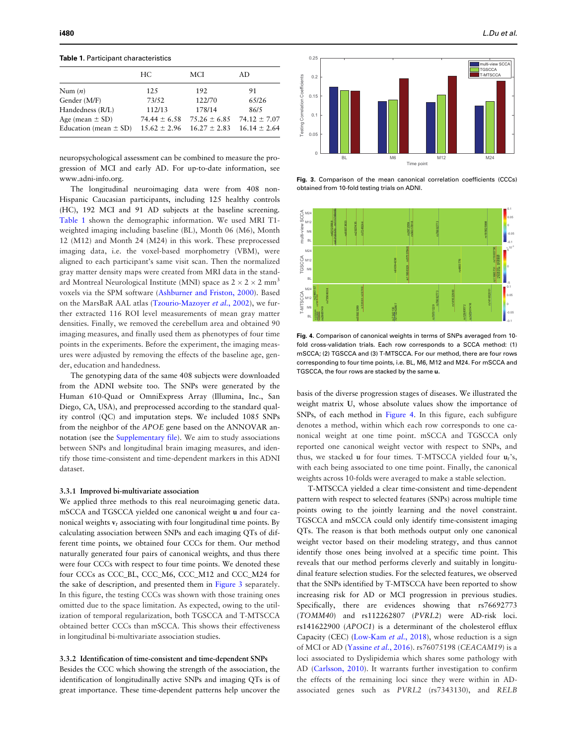#### Table 1. Participant characteristics

|                           | HC.              | МCI                               | AD               |
|---------------------------|------------------|-----------------------------------|------------------|
| Num $(n)$                 | 12.5             | 192                               | 91               |
| Gender (M/F)              | 73/52            | 122/70                            | 65/26            |
| Handedness (R/L)          | 112/13           | 178/14                            | 86/5             |
| Age (mean $\pm$ SD)       | $74.44 \pm 6.58$ | $75.26 \pm 6.85$                  | $74.12 \pm 7.07$ |
| Education (mean $\pm$ SD) | $15.62 \pm 2.96$ | $16.27 \pm 2.83$ $16.14 \pm 2.64$ |                  |

neuropsychological assessment can be combined to measure the progression of MCI and early AD. For up-to-date information, see [www.adni-info.org](http://www.adni-info.org).

The longitudinal neuroimaging data were from 408 non-Hispanic Caucasian participants, including 125 healthy controls (HC), 192 MCI and 91 AD subjects at the baseline screening. Table 1 shown the demographic information. We used MRI T1 weighted imaging including baseline (BL), Month 06 (M6), Month 12 (M12) and Month 24 (M24) in this work. These preprocessed imaging data, i.e. the voxel-based morphometry (VBM), were aligned to each participant's same visit scan. Then the normalized gray matter density maps were created from MRI data in the standard Montreal Neurological Institute (MNI) space as  $2 \times 2 \times 2$  mm<sup>3</sup> voxels via the SPM software [\(Ashburner and Friston, 2000\)](#page-8-0). Based on the MarsBaR AAL atlas [\(Tzourio-Mazoyer](#page-8-0) et al., 2002), we further extracted 116 ROI level measurements of mean gray matter densities. Finally, we removed the cerebellum area and obtained 90 imaging measures, and finally used them as phenotypes of four time points in the experiments. Before the experiment, the imaging measures were adjusted by removing the effects of the baseline age, gender, education and handedness.

The genotyping data of the same 408 subjects were downloaded from the ADNI website too. The SNPs were generated by the Human 610-Quad or OmniExpress Array (Illumina, Inc., San Diego, CA, USA), and preprocessed according to the standard quality control (QC) and imputation steps. We included 1085 SNPs from the neighbor of the APOE gene based on the ANNOVAR annotation (see the [Supplementary file](https://academic.oup.com/bioinformatics/article-lookup/doi/10.1093/bioinformatics/btz320#supplementary-data)). We aim to study associations between SNPs and longitudinal brain imaging measures, and identify those time-consistent and time-dependent markers in this ADNI dataset.

#### 3.3.1 Improved bi-multivariate association

We applied three methods to this real neuroimaging genetic data. mSCCA and TGSCCA yielded one canonical weight u and four canonical weights  $v_t$  associating with four longitudinal time points. By calculating association between SNPs and each imaging QTs of different time points, we obtained four CCCs for them. Our method naturally generated four pairs of canonical weights, and thus there were four CCCs with respect to four time points. We denoted these four CCCs as CCC\_BL, CCC\_M6, CCC\_M12 and CCC\_M24 for the sake of description, and presented them in Figure 3 separately. In this figure, the testing CCCs was shown with those training ones omitted due to the space limitation. As expected, owing to the utilization of temporal regularization, both TGSCCA and T-MTSCCA obtained better CCCs than mSCCA. This shows their effectiveness in longitudinal bi-multivariate association studies.

#### 3.3.2 Identification of time-consistent and time-dependent SNPs

Besides the CCC which showing the strength of the association, the identification of longitudinally active SNPs and imaging QTs is of great importance. These time-dependent patterns help uncover the



Fig. 3. Comparison of the mean canonical correlation coefficients (CCCs) obtained from 10-fold testing trials on ADNI.



Fig. 4. Comparison of canonical weights in terms of SNPs averaged from 10 fold cross-validation trials. Each row corresponds to a SCCA method: (1) mSCCA; (2) TGSCCA and (3) T-MTSCCA. For our method, there are four rows corresponding to four time points, i.e. BL, M6, M12 and M24. For mSCCA and TGSCCA, the four rows are stacked by the same u.

basis of the diverse progression stages of diseases. We illustrated the weight matrix U, whose absolute values show the importance of SNPs, of each method in Figure 4. In this figure, each subfigure denotes a method, within which each row corresponds to one canonical weight at one time point. mSCCA and TGSCCA only reported one canonical weight vector with respect to SNPs, and thus, we stacked u for four times. T-MTSCCA yielded four  $u_t$ 's, with each being associated to one time point. Finally, the canonical weights across 10-folds were averaged to make a stable selection.

T-MTSCCA yielded a clear time-consistent and time-dependent pattern with respect to selected features (SNPs) across multiple time points owing to the jointly learning and the novel constraint. TGSCCA and mSCCA could only identify time-consistent imaging QTs. The reason is that both methods output only one canonical weight vector based on their modeling strategy, and thus cannot identify those ones being involved at a specific time point. This reveals that our method performs cleverly and suitably in longitudinal feature selection studies. For the selected features, we observed that the SNPs identified by T-MTSCCA have been reported to show increasing risk for AD or MCI progression in previous studies. Specifically, there are evidences showing that rs76692773 (TOMM40) and rs112262807 (PVRL2) were AD-risk loci. rs141622900 (APOC1) is a determinant of the cholesterol efflux Capacity (CEC) ([Low-Kam](#page-8-0) et al., 2018), whose reduction is a sign of MCI or AD ([Yassine](#page-9-0) et al., 2016). rs76075198 (CEACAM19) is a loci associated to Dyslipidemia which shares some pathology with AD [\(Carlsson, 2010](#page-8-0)). It warrants further investigation to confirm the effects of the remaining loci since they were within in ADassociated genes such as PVRL2 (rs7343130), and RELB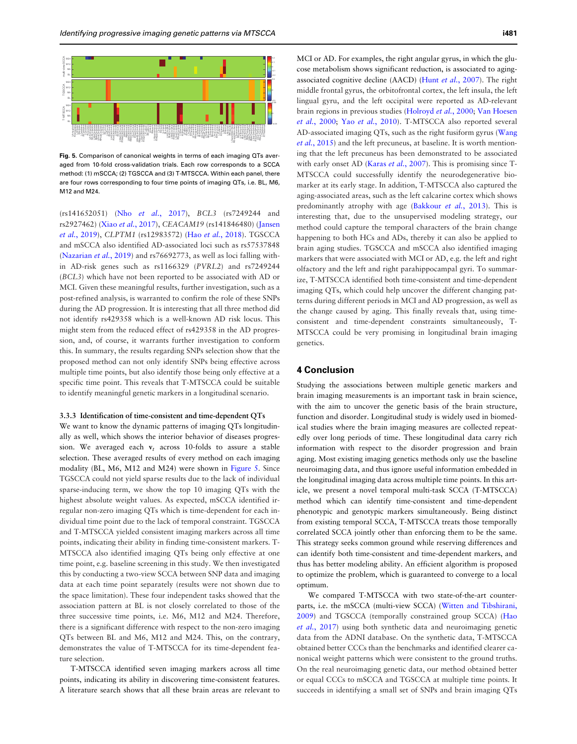

Fig. 5. Comparison of canonical weights in terms of each imaging QTs averaged from 10-fold cross-validation trials. Each row corresponds to a SCCA method: (1) mSCCA; (2) TGSCCA and (3) T-MTSCCA. Within each panel, there are four rows corresponding to four time points of imaging QTs, i.e. BL, M6, M12 and M24.

(rs141652051) (Nho et al.[, 2017\)](#page-8-0), BCL3 (rs7249244 and rs2927462) (Xiao et al.[, 2017](#page-9-0)), CEACAM19 (rs141846480) ([Jansen](#page-8-0) et al.[, 2019](#page-8-0)), CLPTM1 (rs12983572) (Hao et al.[, 2018\)](#page-8-0). TGSCCA and mSCCA also identified AD-associated loci such as rs57537848 ([Nazarian](#page-8-0) et al., 2019) and rs76692773, as well as loci falling within AD-risk genes such as rs1166329 (PVRL2) and rs7249244 (BCL3) which have not been reported to be associated with AD or MCI. Given these meaningful results, further investigation, such as a post-refined analysis, is warranted to confirm the role of these SNPs during the AD progression. It is interesting that all three method did not identify rs429358 which is a well-known AD risk locus. This might stem from the reduced effect of rs429358 in the AD progression, and, of course, it warrants further investigation to conform this. In summary, the results regarding SNPs selection show that the proposed method can not only identify SNPs being effective across multiple time points, but also identify those being only effective at a specific time point. This reveals that T-MTSCCA could be suitable to identify meaningful genetic markers in a longitudinal scenario.

#### 3.3.3 Identification of time-consistent and time-dependent QTs

We want to know the dynamic patterns of imaging QTs longitudinally as well, which shows the interior behavior of diseases progression. We averaged each  $v_t$  across 10-folds to assure a stable selection. These averaged results of every method on each imaging modality (BL, M6, M12 and M24) were shown in Figure 5. Since TGSCCA could not yield sparse results due to the lack of individual sparse-inducing term, we show the top 10 imaging QTs with the highest absolute weight values. As expected, mSCCA identified irregular non-zero imaging QTs which is time-dependent for each individual time point due to the lack of temporal constraint. TGSCCA and T-MTSCCA yielded consistent imaging markers across all time points, indicating their ability in finding time-consistent markers. T-MTSCCA also identified imaging QTs being only effective at one time point, e.g. baseline screening in this study. We then investigated this by conducting a two-view SCCA between SNP data and imaging data at each time point separately (results were not shown due to the space limitation). These four independent tasks showed that the association pattern at BL is not closely correlated to those of the three successive time points, i.e. M6, M12 and M24. Therefore, there is a significant difference with respect to the non-zero imaging QTs between BL and M6, M12 and M24. This, on the contrary, demonstrates the value of T-MTSCCA for its time-dependent feature selection.

T-MTSCCA identified seven imaging markers across all time points, indicating its ability in discovering time-consistent features. A literature search shows that all these brain areas are relevant to

MCI or AD. For examples, the right angular gyrus, in which the glucose metabolism shows significant reduction, is associated to agingassociated cognitive decline (AACD) (Hunt et al.[, 2007\)](#page-8-0). The right middle frontal gyrus, the orbitofrontal cortex, the left insula, the left lingual gyru, and the left occipital were reported as AD-relevant brain regions in previous studies ([Holroyd](#page-8-0) et al., 2000; [Van Hoesen](#page-9-0) et al.[, 2000;](#page-9-0) Yao et al.[, 2010\)](#page-9-0). T-MTSCCA also reported several AD-associated imaging QTs, such as the right fusiform gyrus ([Wang](#page-9-0) et al.[, 2015](#page-9-0)) and the left precuneus, at baseline. It is worth mentioning that the left precuneus has been demonstrated to be associated with early onset AD (Karas et al.[, 2007](#page-8-0)). This is promising since T-MTSCCA could successfully identify the neurodegenerative biomarker at its early stage. In addition, T-MTSCCA also captured the aging-associated areas, such as the left calcarine cortex which shows predominantly atrophy with age ([Bakkour](#page-8-0) et al., 2013). This is interesting that, due to the unsupervised modeling strategy, our method could capture the temporal characters of the brain change happening to both HCs and ADs, thereby it can also be applied to brain aging studies. TGSCCA and mSCCA also identified imaging

markers that were associated with MCI or AD, e.g. the left and right olfactory and the left and right parahippocampal gyri. To summarize, T-MTSCCA identified both time-consistent and time-dependent imaging QTs, which could help uncover the different changing patterns during different periods in MCI and AD progression, as well as the change caused by aging. This finally reveals that, using timeconsistent and time-dependent constraints simultaneously, T-MTSCCA could be very promising in longitudinal brain imaging genetics.

# 4 Conclusion

Studying the associations between multiple genetic markers and brain imaging measurements is an important task in brain science, with the aim to uncover the genetic basis of the brain structure, function and disorder. Longitudinal study is widely used in biomedical studies where the brain imaging measures are collected repeatedly over long periods of time. These longitudinal data carry rich information with respect to the disorder progression and brain aging. Most existing imaging genetics methods only use the baseline neuroimaging data, and thus ignore useful information embedded in the longitudinal imaging data across multiple time points. In this article, we present a novel temporal multi-task SCCA (T-MTSCCA) method which can identify time-consistent and time-dependent phenotypic and genotypic markers simultaneously. Being distinct from existing temporal SCCA, T-MTSCCA treats those temporally correlated SCCA jointly other than enforcing them to be the same. This strategy seeks common ground while reserving differences and can identify both time-consistent and time-dependent markers, and thus has better modeling ability. An efficient algorithm is proposed to optimize the problem, which is guaranteed to converge to a local optimum.

We compared T-MTSCCA with two state-of-the-art counterparts, i.e. the mSCCA (multi-view SCCA) ([Witten and Tibshirani,](#page-9-0) [2009\)](#page-9-0) and TGSCCA (temporally constrained group SCCA) [\(Hao](#page-8-0) et al.[, 2017](#page-8-0)) using both synthetic data and neuroimaging genetic data from the ADNI database. On the synthetic data, T-MTSCCA obtained better CCCs than the benchmarks and identified clearer canonical weight patterns which were consistent to the ground truths. On the real neuroimaging genetic data, our method obtained better or equal CCCs to mSCCA and TGSCCA at multiple time points. It succeeds in identifying a small set of SNPs and brain imaging QTs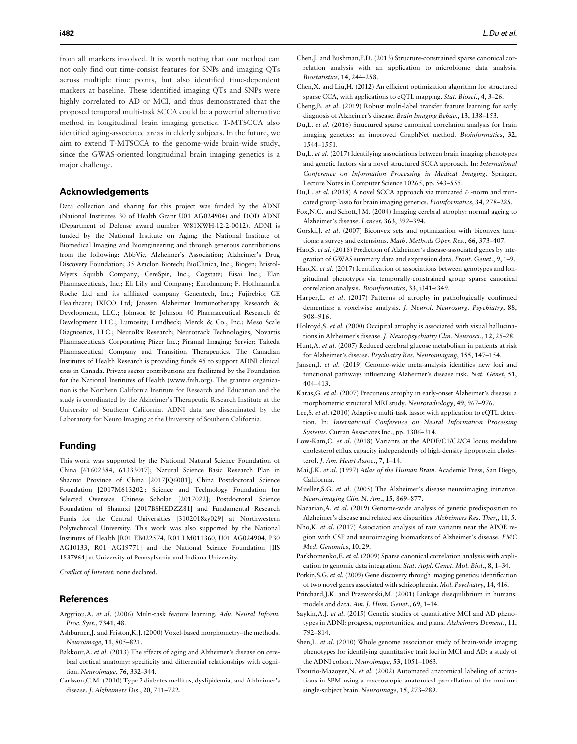<span id="page-8-0"></span>from all markers involved. It is worth noting that our method can not only find out time-consist features for SNPs and imaging QTs across multiple time points, but also identified time-dependent markers at baseline. These identified imaging QTs and SNPs were highly correlated to AD or MCI, and thus demonstrated that the proposed temporal multi-task SCCA could be a powerful alternative method in longitudinal brain imaging genetics. T-MTSCCA also identified aging-associated areas in elderly subjects. In the future, we aim to extend T-MTSCCA to the genome-wide brain-wide study, since the GWAS-oriented longitudinal brain imaging genetics is a major challenge.

# Acknowledgements

Data collection and sharing for this project was funded by the ADNI (National Institutes 30 of Health Grant U01 AG024904) and DOD ADNI (Department of Defense award number W81XWH-12-2-0012). ADNI is funded by the National Institute on Aging; the National Institute of Biomedical Imaging and Bioengineering and through generous contributions from the following: AbbVie, Alzheimer's Association; Alzheimer's Drug Discovery Foundation; 35 Araclon Biotech; BioClinica, Inc.; Biogen; Bristol-Myers Squibb Company; CereSpir, Inc.; Cogstate; Eisai Inc.; Elan Pharmaceuticals, Inc.; Eli Lilly and Company; EuroImmun; F. HoffmannLa Roche Ltd and its affiliated company Genentech, Inc.; Fujirebio; GE Healthcare; IXICO Ltd; Janssen Alzheimer Immunotherapy Research & Development, LLC.; Johnson & Johnson 40 Pharmaceutical Research & Development LLC.; Lumosity; Lundbeck; Merck & Co., Inc.; Meso Scale Diagnostics, LLC.; NeuroRx Research; Neurotrack Technologies; Novartis Pharmaceuticals Corporation; Pfizer Inc.; Piramal Imaging; Servier; Takeda Pharmaceutical Company and Transition Therapeutics. The Canadian Institutes of Health Research is providing funds 45 to support ADNI clinical sites in Canada. Private sector contributions are facilitated by the Foundation for the National Institutes of Health [\(www.fnih.org\)](http://www. fnih.org). The grantee organization is the Northern California Institute for Research and Education and the study is coordinated by the Alzheimer's Therapeutic Research Institute at the University of Southern California. ADNI data are disseminated by the Laboratory for Neuro Imaging at the University of Southern California.

# Funding

This work was supported by the National Natural Science Foundation of China [61602384, 61333017]; Natural Science Basic Research Plan in Shaanxi Province of China [2017JQ6001]; China Postdoctoral Science Foundation [2017M613202]; Science and Technology Foundation for Selected Overseas Chinese Scholar [2017022]; Postdoctoral Science Foundation of Shaanxi [2017BSHEDZZ81] and Fundamental Research Funds for the Central Universities [3102018zy029] at Northwestern Polytechnical University. This work was also supported by the National Institutes of Health [R01 EB022574, R01 LM011360, U01 AG024904, P30 AG10133, R01 AG19771] and the National Science Foundation [IIS 1837964] at University of Pennsylvania and Indiana University.

Conflict of Interest: none declared.

#### References

- Argyriou,A. et al. (2006) Multi-task feature learning. Adv. Neural Inform. Proc. Syst., 7341, 48.
- Ashburner,J. and Friston,K.J. (2000) Voxel-based morphometry–the methods. Neuroimage, 11, 805–821.
- Bakkour,A. et al. (2013) The effects of aging and Alzheimer's disease on cerebral cortical anatomy: specificity and differential relationships with cognition. Neuroimage, 76, 332–344.
- Carlsson,C.M. (2010) Type 2 diabetes mellitus, dyslipidemia, and Alzheimer's disease. J. Alzheimers Dis., 20, 711–722.
- Chen,J. and Bushman,F.D. (2013) Structure-constrained sparse canonical correlation analysis with an application to microbiome data analysis. Biostatistics, 14, 244–258.
- Chen,X. and Liu,H. (2012) An efficient optimization algorithm for structured sparse CCA, with applications to eQTL mapping. Stat. Biosci., 4, 3–26.
- Cheng,B. et al. (2019) Robust multi-label transfer feature learning for early diagnosis of Alzheimer's disease. Brain Imaging Behav., 13, 138–153.
- Du,L. et al. (2016) Structured sparse canonical correlation analysis for brain imaging genetics: an improved GraphNet method. Bioinformatics, 32, 1544–1551.
- Du,L. et al. (2017) Identifying associations between brain imaging phenotypes and genetic factors via a novel structured SCCA approach. In: International Conference on Information Processing in Medical Imaging. Springer, Lecture Notes in Computer Science 10265, pp. 543–555.
- Du,L. et al. (2018) A novel SCCA approach via truncated  $\ell_1$ -norm and truncated group lasso for brain imaging genetics. Bioinformatics, 34, 278–285.
- Fox,N.C. and Schott,J.M. (2004) Imaging cerebral atrophy: normal ageing to Alzheimer's disease. Lancet, 363, 392–394.
- Gorski,J. et al. (2007) Biconvex sets and optimization with biconvex functions: a survey and extensions. Math. Methods Oper. Res., 66, 373–407.
- Hao,S. et al. (2018) Prediction of Alzheimer's disease-associated genes by integration of GWAS summary data and expression data. Front. Genet., 9, 1-9.
- Hao,X. et al. (2017) Identification of associations between genotypes and longitudinal phenotypes via temporally-constrained group sparse canonical correlation analysis. Bioinformatics, 33, i341–i349.
- Harper,L. et al. (2017) Patterns of atrophy in pathologically confirmed dementias: a voxelwise analysis. J. Neurol. Neurosurg. Psychiatry, 88, 908–916.
- Holroyd, S. et al. (2000) Occipital atrophy is associated with visual hallucinations in Alzheimer's disease. J. Neuropsychiatry Clin. Neurosci., 12, 25–28.
- Hunt,A. et al. (2007) Reduced cerebral glucose metabolism in patients at risk for Alzheimer's disease. Psychiatry Res. Neuroimaging, 155, 147–154.
- Jansen,I. et al. (2019) Genome-wide meta-analysis identifies new loci and functional pathways influencing Alzheimer's disease risk. Nat. Genet, 51, 404–413.
- Karas,G. et al. (2007) Precuneus atrophy in early-onset Alzheimer's disease: a morphometric structural MRI study. Neuroradiology, 49, 967–976.
- Lee,S. et al. (2010) Adaptive multi-task lasso: with application to eQTL detection. In: International Conference on Neural Information Processing Systems. Curran Associates Inc., pp. 1306–314.
- Low-Kam,C. et al. (2018) Variants at the APOE/C1/C2/C4 locus modulate cholesterol efflux capacity independently of high-density lipoprotein cholesterol. J. Am. Heart Assoc., 7, 1–14.
- Mai,J.K. et al. (1997) Atlas of the Human Brain. Academic Press, San Diego, California.
- Mueller,S.G. et al. (2005) The Alzheimer's disease neuroimaging initiative. Neuroimaging Clin. N. Am., 15, 869–877.
- Nazarian,A. et al. (2019) Genome-wide analysis of genetic predisposition to Alzheimer's disease and related sex disparities. Alzheimers Res. Ther,, 11, 5.
- Nho,K. et al. (2017) Association analysis of rare variants near the APOE region with CSF and neuroimaging biomarkers of Alzheimer's disease. BMC Med. Genomics, 10, 29.
- Parkhomenko, E. et al. (2009) Sparse canonical correlation analysis with application to genomic data integration. Stat. Appl. Genet. Mol. Biol., 8, 1–34.
- Potkin,S.G. et al. (2009) Gene discovery through imaging genetics: identification of two novel genes associated with schizophrenia. Mol. Psychiatry, 14, 416.
- Pritchard,J.K. and Przeworski,M. (2001) Linkage disequilibrium in humans: models and data. Am. J. Hum. Genet., 69, 1–14.
- Saykin,A.J. et al. (2015) Genetic studies of quantitative MCI and AD phenotypes in ADNI: progress, opportunities, and plans. Alzheimers Dement., 11, 792–814.
- Shen,L. et al. (2010) Whole genome association study of brain-wide imaging phenotypes for identifying quantitative trait loci in MCI and AD: a study of the ADNI cohort. Neuroimage, 53, 1051–1063.
- Tzourio-Mazoyer,N. et al. (2002) Automated anatomical labeling of activations in SPM using a macroscopic anatomical parcellation of the mni mri single-subject brain. Neuroimage, 15, 273–289.